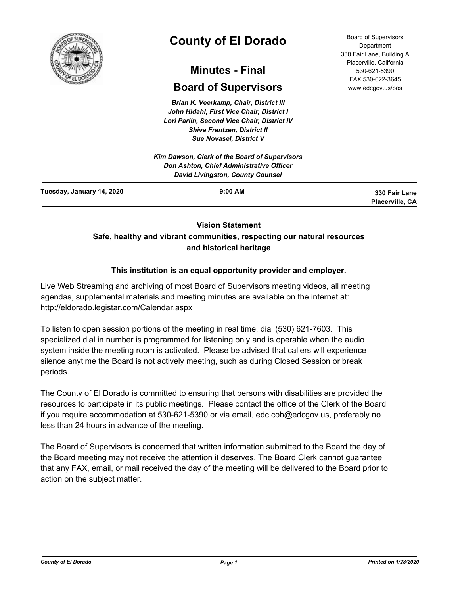

# **County of El Dorado**

# **Minutes - Final**

# **Board of Supervisors**

*Brian K. Veerkamp, Chair, District III John Hidahl, First Vice Chair, District I Lori Parlin, Second Vice Chair, District IV Shiva Frentzen, District II Sue Novasel, District V*

Board of Supervisors Department 330 Fair Lane, Building A Placerville, California 530-621-5390 FAX 530-622-3645 www.edcgov.us/bos

|                           | Kim Dawson, Clerk of the Board of Supervisors<br>Don Ashton, Chief Administrative Officer<br>David Livingston, County Counsel |                                         |
|---------------------------|-------------------------------------------------------------------------------------------------------------------------------|-----------------------------------------|
| Tuesday, January 14, 2020 | $9:00$ AM                                                                                                                     | 330 Fair Lane<br><b>Placerville, CA</b> |

# **Vision Statement Safe, healthy and vibrant communities, respecting our natural resources and historical heritage**

# **This institution is an equal opportunity provider and employer.**

Live Web Streaming and archiving of most Board of Supervisors meeting videos, all meeting agendas, supplemental materials and meeting minutes are available on the internet at: http://eldorado.legistar.com/Calendar.aspx

To listen to open session portions of the meeting in real time, dial (530) 621-7603. This specialized dial in number is programmed for listening only and is operable when the audio system inside the meeting room is activated. Please be advised that callers will experience silence anytime the Board is not actively meeting, such as during Closed Session or break periods.

The County of El Dorado is committed to ensuring that persons with disabilities are provided the resources to participate in its public meetings. Please contact the office of the Clerk of the Board if you require accommodation at 530-621-5390 or via email, edc.cob@edcgov.us, preferably no less than 24 hours in advance of the meeting.

The Board of Supervisors is concerned that written information submitted to the Board the day of the Board meeting may not receive the attention it deserves. The Board Clerk cannot guarantee that any FAX, email, or mail received the day of the meeting will be delivered to the Board prior to action on the subject matter.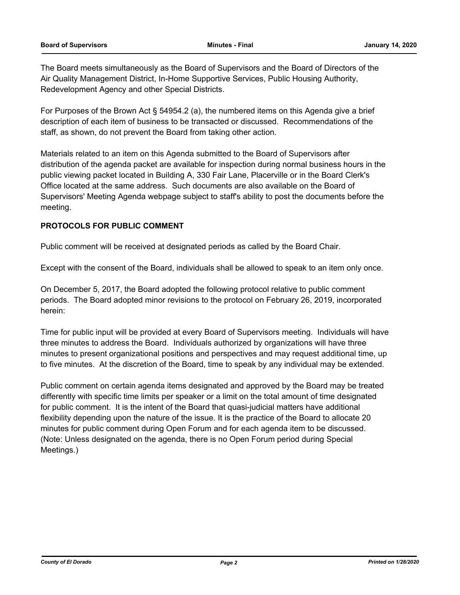The Board meets simultaneously as the Board of Supervisors and the Board of Directors of the Air Quality Management District, In-Home Supportive Services, Public Housing Authority, Redevelopment Agency and other Special Districts.

For Purposes of the Brown Act § 54954.2 (a), the numbered items on this Agenda give a brief description of each item of business to be transacted or discussed. Recommendations of the staff, as shown, do not prevent the Board from taking other action.

Materials related to an item on this Agenda submitted to the Board of Supervisors after distribution of the agenda packet are available for inspection during normal business hours in the public viewing packet located in Building A, 330 Fair Lane, Placerville or in the Board Clerk's Office located at the same address. Such documents are also available on the Board of Supervisors' Meeting Agenda webpage subject to staff's ability to post the documents before the meeting.

# **PROTOCOLS FOR PUBLIC COMMENT**

Public comment will be received at designated periods as called by the Board Chair.

Except with the consent of the Board, individuals shall be allowed to speak to an item only once.

On December 5, 2017, the Board adopted the following protocol relative to public comment periods. The Board adopted minor revisions to the protocol on February 26, 2019, incorporated herein:

Time for public input will be provided at every Board of Supervisors meeting. Individuals will have three minutes to address the Board. Individuals authorized by organizations will have three minutes to present organizational positions and perspectives and may request additional time, up to five minutes. At the discretion of the Board, time to speak by any individual may be extended.

Public comment on certain agenda items designated and approved by the Board may be treated differently with specific time limits per speaker or a limit on the total amount of time designated for public comment. It is the intent of the Board that quasi-judicial matters have additional flexibility depending upon the nature of the issue. It is the practice of the Board to allocate 20 minutes for public comment during Open Forum and for each agenda item to be discussed. (Note: Unless designated on the agenda, there is no Open Forum period during Special Meetings.)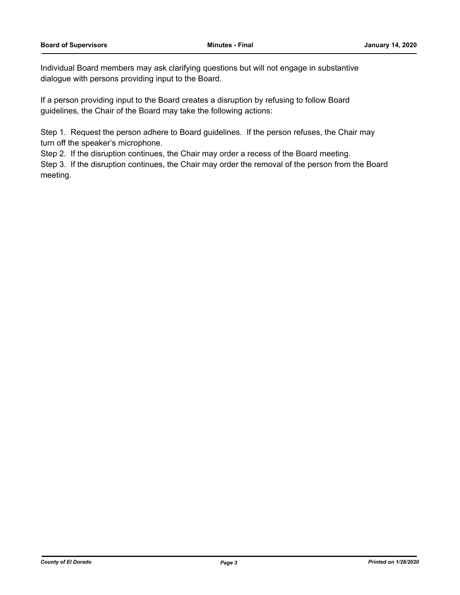Individual Board members may ask clarifying questions but will not engage in substantive dialogue with persons providing input to the Board.

If a person providing input to the Board creates a disruption by refusing to follow Board guidelines, the Chair of the Board may take the following actions:

Step 1. Request the person adhere to Board guidelines. If the person refuses, the Chair may turn off the speaker's microphone.

Step 2. If the disruption continues, the Chair may order a recess of the Board meeting.

Step 3. If the disruption continues, the Chair may order the removal of the person from the Board meeting.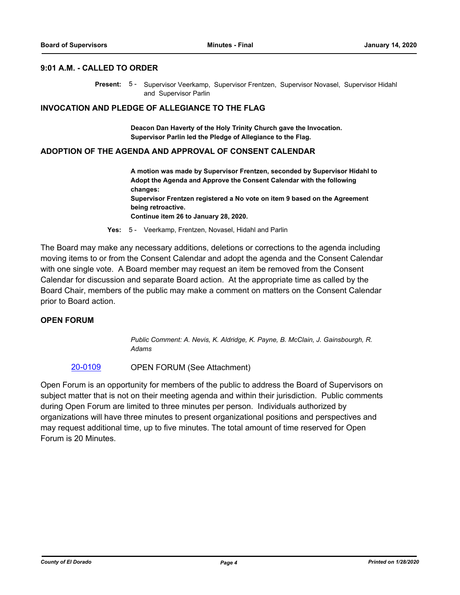#### **9:01 A.M. - CALLED TO ORDER**

Present: 5 - Supervisor Veerkamp, Supervisor Frentzen, Supervisor Novasel, Supervisor Hidahl and Supervisor Parlin

#### **INVOCATION AND PLEDGE OF ALLEGIANCE TO THE FLAG**

**Deacon Dan Haverty of the Holy Trinity Church gave the Invocation. Supervisor Parlin led the Pledge of Allegiance to the Flag.**

#### **ADOPTION OF THE AGENDA AND APPROVAL OF CONSENT CALENDAR**

**A motion was made by Supervisor Frentzen, seconded by Supervisor Hidahl to Adopt the Agenda and Approve the Consent Calendar with the following changes: Supervisor Frentzen registered a No vote on item 9 based on the Agreement being retroactive. Continue item 26 to January 28, 2020.**

**Yes:** 5 - Veerkamp, Frentzen, Novasel, Hidahl and Parlin

The Board may make any necessary additions, deletions or corrections to the agenda including moving items to or from the Consent Calendar and adopt the agenda and the Consent Calendar with one single vote. A Board member may request an item be removed from the Consent Calendar for discussion and separate Board action. At the appropriate time as called by the Board Chair, members of the public may make a comment on matters on the Consent Calendar prior to Board action.

### **OPEN FORUM**

*Public Comment: A. Nevis, K. Aldridge, K. Payne, B. McClain, J. Gainsbourgh, R. Adams*

#### [20-0109](http://eldorado.legistar.com/gateway.aspx?m=l&id=/matter.aspx?key=27314) OPEN FORUM (See Attachment)

Open Forum is an opportunity for members of the public to address the Board of Supervisors on subject matter that is not on their meeting agenda and within their jurisdiction. Public comments during Open Forum are limited to three minutes per person. Individuals authorized by organizations will have three minutes to present organizational positions and perspectives and may request additional time, up to five minutes. The total amount of time reserved for Open Forum is 20 Minutes.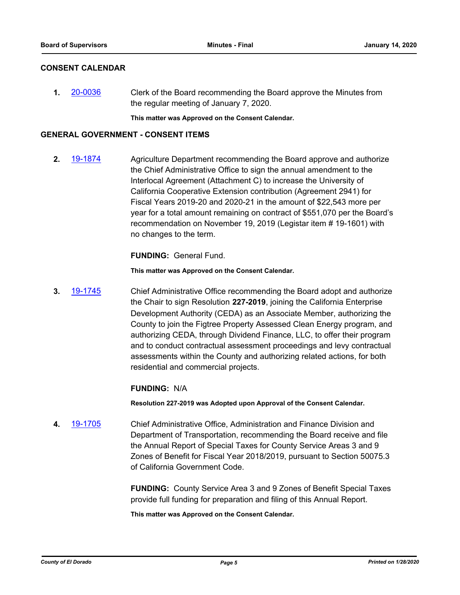# **CONSENT CALENDAR**

**1.** [20-0036](http://eldorado.legistar.com/gateway.aspx?m=l&id=/matter.aspx?key=27240) Clerk of the Board recommending the Board approve the Minutes from the regular meeting of January 7, 2020.

**This matter was Approved on the Consent Calendar.**

### **GENERAL GOVERNMENT - CONSENT ITEMS**

**2.** [19-1874](http://eldorado.legistar.com/gateway.aspx?m=l&id=/matter.aspx?key=27198) Agriculture Department recommending the Board approve and authorize the Chief Administrative Office to sign the annual amendment to the Interlocal Agreement (Attachment C) to increase the University of California Cooperative Extension contribution (Agreement 2941) for Fiscal Years 2019-20 and 2020-21 in the amount of \$22,543 more per year for a total amount remaining on contract of \$551,070 per the Board's recommendation on November 19, 2019 (Legistar item # 19-1601) with no changes to the term.

**FUNDING:** General Fund.

**This matter was Approved on the Consent Calendar.**

**3.** [19-1745](http://eldorado.legistar.com/gateway.aspx?m=l&id=/matter.aspx?key=27069) Chief Administrative Office recommending the Board adopt and authorize the Chair to sign Resolution **227-2019**, joining the California Enterprise Development Authority (CEDA) as an Associate Member, authorizing the County to join the Figtree Property Assessed Clean Energy program, and authorizing CEDA, through Dividend Finance, LLC, to offer their program and to conduct contractual assessment proceedings and levy contractual assessments within the County and authorizing related actions, for both residential and commercial projects.

# **FUNDING:** N/A

**Resolution 227-2019 was Adopted upon Approval of the Consent Calendar.**

**4.** [19-1705](http://eldorado.legistar.com/gateway.aspx?m=l&id=/matter.aspx?key=27029) Chief Administrative Office, Administration and Finance Division and Department of Transportation, recommending the Board receive and file the Annual Report of Special Taxes for County Service Areas 3 and 9 Zones of Benefit for Fiscal Year 2018/2019, pursuant to Section 50075.3 of California Government Code.

> **FUNDING:** County Service Area 3 and 9 Zones of Benefit Special Taxes provide full funding for preparation and filing of this Annual Report.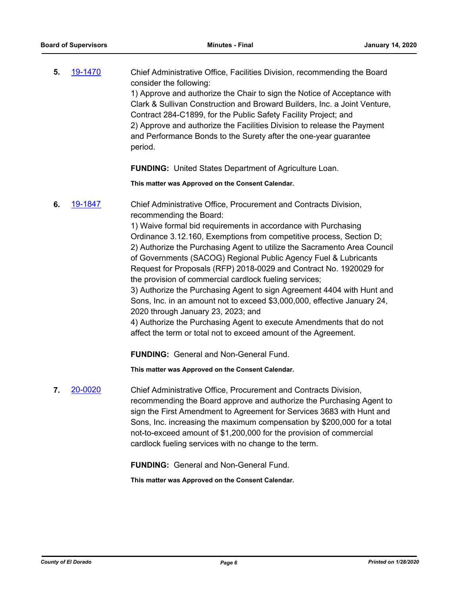**5.** [19-1470](http://eldorado.legistar.com/gateway.aspx?m=l&id=/matter.aspx?key=26791) Chief Administrative Office, Facilities Division, recommending the Board consider the following: 1) Approve and authorize the Chair to sign the Notice of Acceptance with Clark & Sullivan Construction and Broward Builders, Inc. a Joint Venture, Contract 284-C1899, for the Public Safety Facility Project; and 2) Approve and authorize the Facilities Division to release the Payment and Performance Bonds to the Surety after the one-year guarantee period.

**FUNDING:** United States Department of Agriculture Loan.

**This matter was Approved on the Consent Calendar.**

**6.** [19-1847](http://eldorado.legistar.com/gateway.aspx?m=l&id=/matter.aspx?key=27171) Chief Administrative Office, Procurement and Contracts Division, recommending the Board:

> 1) Waive formal bid requirements in accordance with Purchasing Ordinance 3.12.160, Exemptions from competitive process, Section D; 2) Authorize the Purchasing Agent to utilize the Sacramento Area Council of Governments (SACOG) Regional Public Agency Fuel & Lubricants Request for Proposals (RFP) 2018-0029 and Contract No. 1920029 for the provision of commercial cardlock fueling services;

> 3) Authorize the Purchasing Agent to sign Agreement 4404 with Hunt and Sons, Inc. in an amount not to exceed \$3,000,000, effective January 24, 2020 through January 23, 2023; and

4) Authorize the Purchasing Agent to execute Amendments that do not affect the term or total not to exceed amount of the Agreement.

**FUNDING:** General and Non-General Fund.

**This matter was Approved on the Consent Calendar.**

**7.** [20-0020](http://eldorado.legistar.com/gateway.aspx?m=l&id=/matter.aspx?key=27224) Chief Administrative Office, Procurement and Contracts Division, recommending the Board approve and authorize the Purchasing Agent to sign the First Amendment to Agreement for Services 3683 with Hunt and Sons, Inc. increasing the maximum compensation by \$200,000 for a total not-to-exceed amount of \$1,200,000 for the provision of commercial cardlock fueling services with no change to the term.

**FUNDING:** General and Non-General Fund.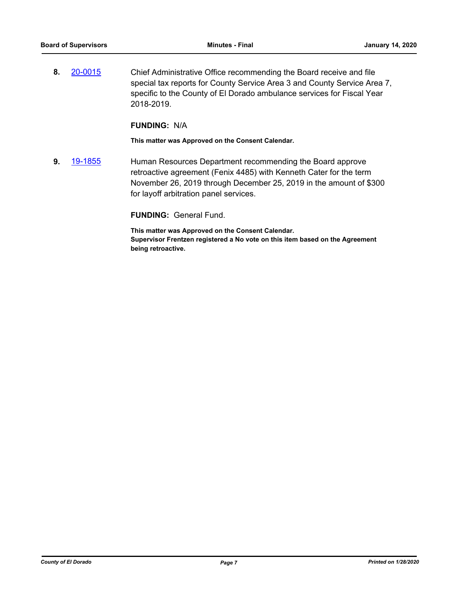**8.** [20-0015](http://eldorado.legistar.com/gateway.aspx?m=l&id=/matter.aspx?key=27219) Chief Administrative Office recommending the Board receive and file special tax reports for County Service Area 3 and County Service Area 7, specific to the County of El Dorado ambulance services for Fiscal Year 2018-2019.

#### **FUNDING:** N/A

**This matter was Approved on the Consent Calendar.**

**9.** [19-1855](http://eldorado.legistar.com/gateway.aspx?m=l&id=/matter.aspx?key=27179) Human Resources Department recommending the Board approve retroactive agreement (Fenix 4485) with Kenneth Cater for the term November 26, 2019 through December 25, 2019 in the amount of \$300 for layoff arbitration panel services.

# **FUNDING:** General Fund.

**This matter was Approved on the Consent Calendar. Supervisor Frentzen registered a No vote on this item based on the Agreement being retroactive.**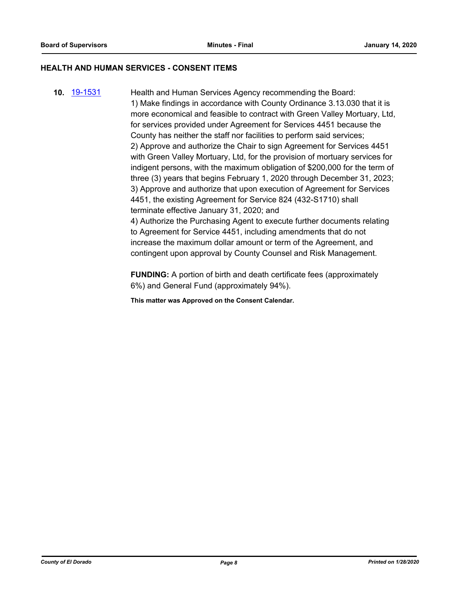#### **HEALTH AND HUMAN SERVICES - CONSENT ITEMS**

**10.** [19-1531](http://eldorado.legistar.com/gateway.aspx?m=l&id=/matter.aspx?key=26853) Health and Human Services Agency recommending the Board: 1) Make findings in accordance with County Ordinance 3.13.030 that it is more economical and feasible to contract with Green Valley Mortuary, Ltd, for services provided under Agreement for Services 4451 because the County has neither the staff nor facilities to perform said services; 2) Approve and authorize the Chair to sign Agreement for Services 4451 with Green Valley Mortuary, Ltd, for the provision of mortuary services for indigent persons, with the maximum obligation of \$200,000 for the term of three (3) years that begins February 1, 2020 through December 31, 2023; 3) Approve and authorize that upon execution of Agreement for Services 4451, the existing Agreement for Service 824 (432-S1710) shall terminate effective January 31, 2020; and 4) Authorize the Purchasing Agent to execute further documents relating to Agreement for Service 4451, including amendments that do not increase the maximum dollar amount or term of the Agreement, and contingent upon approval by County Counsel and Risk Management.

> **FUNDING:** A portion of birth and death certificate fees (approximately 6%) and General Fund (approximately 94%).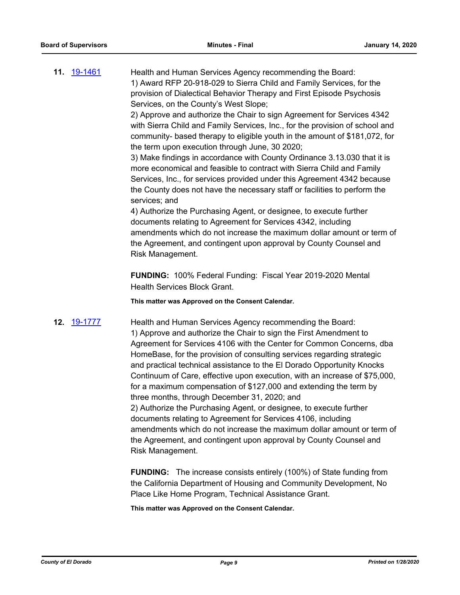**11.** [19-1461](http://eldorado.legistar.com/gateway.aspx?m=l&id=/matter.aspx?key=26782) Health and Human Services Agency recommending the Board: 1) Award RFP 20-918-029 to Sierra Child and Family Services, for the provision of Dialectical Behavior Therapy and First Episode Psychosis Services, on the County's West Slope;

2) Approve and authorize the Chair to sign Agreement for Services 4342 with Sierra Child and Family Services, Inc., for the provision of school and community- based therapy to eligible youth in the amount of \$181,072, for the term upon execution through June, 30 2020;

3) Make findings in accordance with County Ordinance 3.13.030 that it is more economical and feasible to contract with Sierra Child and Family Services, Inc., for services provided under this Agreement 4342 because the County does not have the necessary staff or facilities to perform the services; and

4) Authorize the Purchasing Agent, or designee, to execute further documents relating to Agreement for Services 4342, including amendments which do not increase the maximum dollar amount or term of the Agreement, and contingent upon approval by County Counsel and Risk Management.

**FUNDING:** 100% Federal Funding: Fiscal Year 2019-2020 Mental Health Services Block Grant.

**This matter was Approved on the Consent Calendar.**

**12.** [19-1777](http://eldorado.legistar.com/gateway.aspx?m=l&id=/matter.aspx?key=27101) Health and Human Services Agency recommending the Board: 1) Approve and authorize the Chair to sign the First Amendment to Agreement for Services 4106 with the Center for Common Concerns, dba HomeBase, for the provision of consulting services regarding strategic and practical technical assistance to the El Dorado Opportunity Knocks Continuum of Care, effective upon execution, with an increase of \$75,000, for a maximum compensation of \$127,000 and extending the term by three months, through December 31, 2020; and 2) Authorize the Purchasing Agent, or designee, to execute further documents relating to Agreement for Services 4106, including amendments which do not increase the maximum dollar amount or term of the Agreement, and contingent upon approval by County Counsel and Risk Management.

> **FUNDING:** The increase consists entirely (100%) of State funding from the California Department of Housing and Community Development, No Place Like Home Program, Technical Assistance Grant.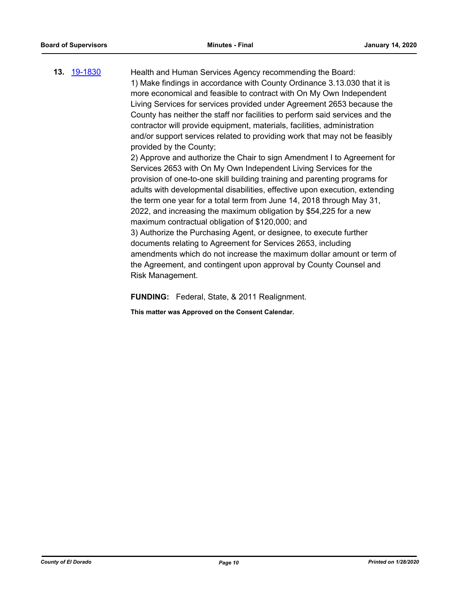**13.** [19-1830](http://eldorado.legistar.com/gateway.aspx?m=l&id=/matter.aspx?key=27154) Health and Human Services Agency recommending the Board: 1) Make findings in accordance with County Ordinance 3.13.030 that it is more economical and feasible to contract with On My Own Independent Living Services for services provided under Agreement 2653 because the County has neither the staff nor facilities to perform said services and the contractor will provide equipment, materials, facilities, administration and/or support services related to providing work that may not be feasibly provided by the County; 2) Approve and authorize the Chair to sign Amendment I to Agreement for Services 2653 with On My Own Independent Living Services for the provision of one-to-one skill building training and parenting programs for adults with developmental disabilities, effective upon execution, extending the term one year for a total term from June 14, 2018 through May 31, 2022, and increasing the maximum obligation by \$54,225 for a new maximum contractual obligation of \$120,000; and 3) Authorize the Purchasing Agent, or designee, to execute further documents relating to Agreement for Services 2653, including amendments which do not increase the maximum dollar amount or term of the Agreement, and contingent upon approval by County Counsel and

Risk Management.

**FUNDING:** Federal, State, & 2011 Realignment.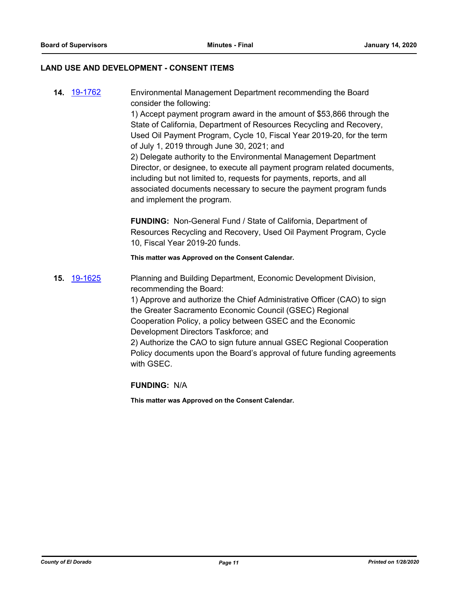#### **LAND USE AND DEVELOPMENT - CONSENT ITEMS**

**14.** [19-1762](http://eldorado.legistar.com/gateway.aspx?m=l&id=/matter.aspx?key=27086) Environmental Management Department recommending the Board consider the following: 1) Accept payment program award in the amount of \$53,866 through the State of California, Department of Resources Recycling and Recovery, Used Oil Payment Program, Cycle 10, Fiscal Year 2019-20, for the term of July 1, 2019 through June 30, 2021; and 2) Delegate authority to the Environmental Management Department Director, or designee, to execute all payment program related documents, including but not limited to, requests for payments, reports, and all associated documents necessary to secure the payment program funds and implement the program. **FUNDING:** Non-General Fund / State of California, Department of

Resources Recycling and Recovery, Used Oil Payment Program, Cycle 10, Fiscal Year 2019-20 funds.

**This matter was Approved on the Consent Calendar.**

**15.** [19-1625](http://eldorado.legistar.com/gateway.aspx?m=l&id=/matter.aspx?key=26949) Planning and Building Department, Economic Development Division, recommending the Board:

> 1) Approve and authorize the Chief Administrative Officer (CAO) to sign the Greater Sacramento Economic Council (GSEC) Regional Cooperation Policy, a policy between GSEC and the Economic Development Directors Taskforce; and 2) Authorize the CAO to sign future annual GSEC Regional Cooperation

Policy documents upon the Board's approval of future funding agreements with GSEC.

**FUNDING:** N/A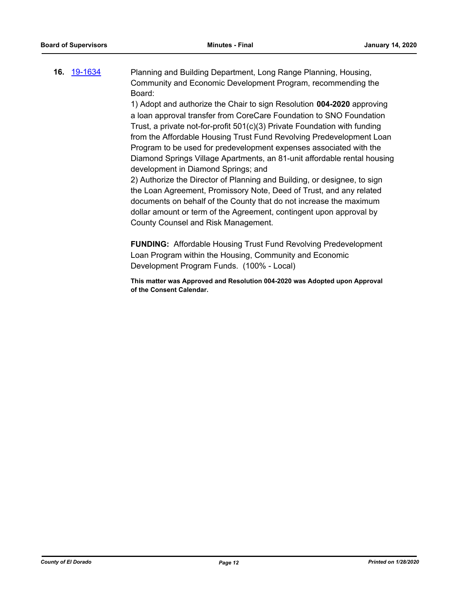# **16.** [19-1634](http://eldorado.legistar.com/gateway.aspx?m=l&id=/matter.aspx?key=26958) Planning and Building Department, Long Range Planning, Housing, Community and Economic Development Program, recommending the Board:

1) Adopt and authorize the Chair to sign Resolution **004-2020** approving a loan approval transfer from CoreCare Foundation to SNO Foundation Trust, a private not-for-profit 501(c)(3) Private Foundation with funding from the Affordable Housing Trust Fund Revolving Predevelopment Loan Program to be used for predevelopment expenses associated with the Diamond Springs Village Apartments, an 81-unit affordable rental housing development in Diamond Springs; and

2) Authorize the Director of Planning and Building, or designee, to sign the Loan Agreement, Promissory Note, Deed of Trust, and any related documents on behalf of the County that do not increase the maximum dollar amount or term of the Agreement, contingent upon approval by County Counsel and Risk Management.

**FUNDING:** Affordable Housing Trust Fund Revolving Predevelopment Loan Program within the Housing, Community and Economic Development Program Funds. (100% - Local)

**This matter was Approved and Resolution 004-2020 was Adopted upon Approval of the Consent Calendar.**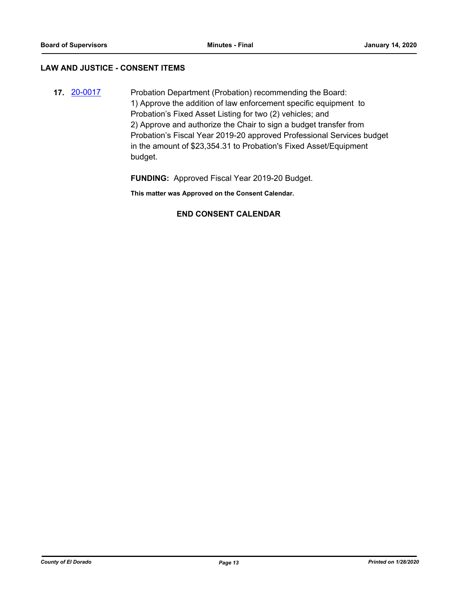#### **LAW AND JUSTICE - CONSENT ITEMS**

**17.** [20-0017](http://eldorado.legistar.com/gateway.aspx?m=l&id=/matter.aspx?key=27221) Probation Department (Probation) recommending the Board: 1) Approve the addition of law enforcement specific equipment to Probation's Fixed Asset Listing for two (2) vehicles; and 2) Approve and authorize the Chair to sign a budget transfer from Probation's Fiscal Year 2019-20 approved Professional Services budget in the amount of \$23,354.31 to Probation's Fixed Asset/Equipment budget.

**FUNDING:** Approved Fiscal Year 2019-20 Budget.

**This matter was Approved on the Consent Calendar.**

# **END CONSENT CALENDAR**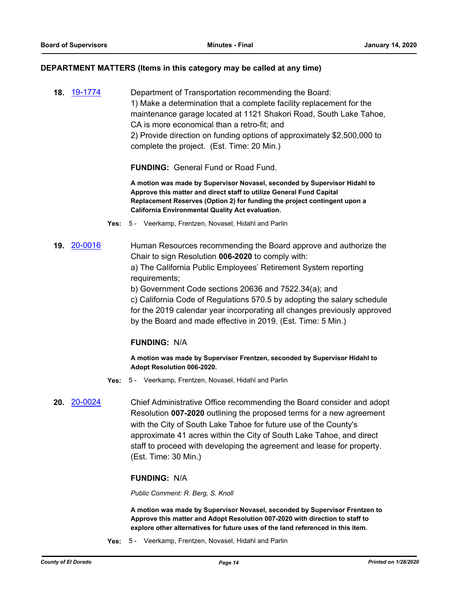#### **DEPARTMENT MATTERS (Items in this category may be called at any time)**

**18.** [19-1774](http://eldorado.legistar.com/gateway.aspx?m=l&id=/matter.aspx?key=27098) Department of Transportation recommending the Board: 1) Make a determination that a complete facility replacement for the maintenance garage located at 1121 Shakori Road, South Lake Tahoe, CA is more economical than a retro-fit; and 2) Provide direction on funding options of approximately \$2,500,000 to complete the project. (Est. Time: 20 Min.)

**FUNDING:** General Fund or Road Fund.

**A motion was made by Supervisor Novasel, seconded by Supervisor Hidahl to Approve this matter and direct staff to utilize General Fund Capital Replacement Reserves (Option 2) for funding the project contingent upon a California Environmental Quality Act evaluation.**

- **Yes:** 5 Veerkamp, Frentzen, Novasel, Hidahl and Parlin
- **19.** [20-0016](http://eldorado.legistar.com/gateway.aspx?m=l&id=/matter.aspx?key=27220) Human Resources recommending the Board approve and authorize the Chair to sign Resolution **006-2020** to comply with:

a) The California Public Employees' Retirement System reporting requirements;

b) Government Code sections 20636 and 7522.34(a); and

c) California Code of Regulations 570.5 by adopting the salary schedule for the 2019 calendar year incorporating all changes previously approved by the Board and made effective in 2019. (Est. Time: 5 Min.)

# **FUNDING:** N/A

**A motion was made by Supervisor Frentzen, seconded by Supervisor Hidahl to Adopt Resolution 006-2020.**

- **Yes:** 5 Veerkamp, Frentzen, Novasel, Hidahl and Parlin
- **20.** [20-0024](http://eldorado.legistar.com/gateway.aspx?m=l&id=/matter.aspx?key=27228) Chief Administrative Office recommending the Board consider and adopt Resolution **007-2020** outlining the proposed terms for a new agreement with the City of South Lake Tahoe for future use of the County's approximate 41 acres within the City of South Lake Tahoe, and direct staff to proceed with developing the agreement and lease for property. (Est. Time: 30 Min.)

#### **FUNDING:** N/A

*Public Comment: R. Berg, S. Knoll*

**A motion was made by Supervisor Novasel, seconded by Supervisor Frentzen to Approve this matter and Adopt Resolution 007-2020 with direction to staff to explore other alternatives for future uses of the land referenced in this item.**

**Yes:** 5 - Veerkamp, Frentzen, Novasel, Hidahl and Parlin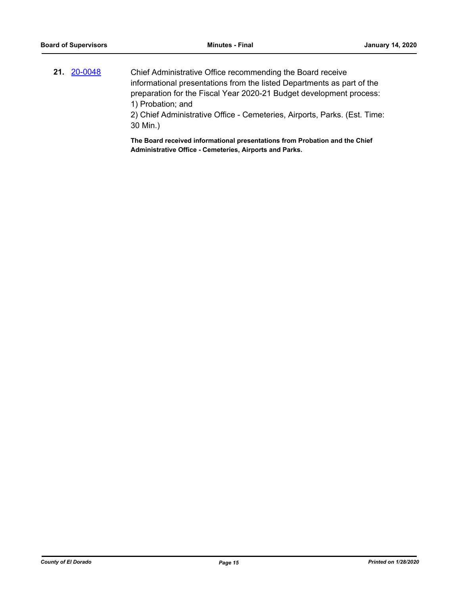**21.** [20-0048](http://eldorado.legistar.com/gateway.aspx?m=l&id=/matter.aspx?key=27253) Chief Administrative Office recommending the Board receive informational presentations from the listed Departments as part of the preparation for the Fiscal Year 2020-21 Budget development process: 1) Probation; and

2) Chief Administrative Office - Cemeteries, Airports, Parks. (Est. Time: 30 Min.)

**The Board received informational presentations from Probation and the Chief Administrative Office - Cemeteries, Airports and Parks.**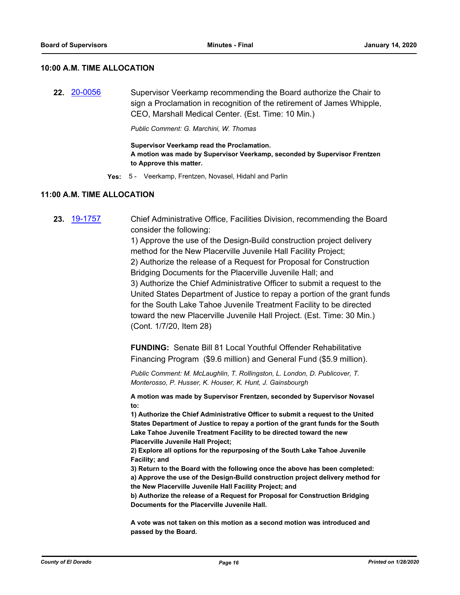#### **10:00 A.M. TIME ALLOCATION**

**22.** [20-0056](http://eldorado.legistar.com/gateway.aspx?m=l&id=/matter.aspx?key=27261) Supervisor Veerkamp recommending the Board authorize the Chair to sign a Proclamation in recognition of the retirement of James Whipple, CEO, Marshall Medical Center. (Est. Time: 10 Min.)

*Public Comment: G. Marchini, W. Thomas*

**Supervisor Veerkamp read the Proclamation. A motion was made by Supervisor Veerkamp, seconded by Supervisor Frentzen to Approve this matter.**

**Yes:** 5 - Veerkamp, Frentzen, Novasel, Hidahl and Parlin

#### **11:00 A.M. TIME ALLOCATION**

**23.** [19-1757](http://eldorado.legistar.com/gateway.aspx?m=l&id=/matter.aspx?key=27081) Chief Administrative Office, Facilities Division, recommending the Board consider the following:

> 1) Approve the use of the Design-Build construction project delivery method for the New Placerville Juvenile Hall Facility Project; 2) Authorize the release of a Request for Proposal for Construction Bridging Documents for the Placerville Juvenile Hall; and 3) Authorize the Chief Administrative Officer to submit a request to the United States Department of Justice to repay a portion of the grant funds for the South Lake Tahoe Juvenile Treatment Facility to be directed toward the new Placerville Juvenile Hall Project. (Est. Time: 30 Min.) (Cont. 1/7/20, Item 28)

**FUNDING:** Senate Bill 81 Local Youthful Offender Rehabilitative Financing Program (\$9.6 million) and General Fund (\$5.9 million).

*Public Comment: M. McLaughlin, T. Rollingston, L. London, D. Publicover, T. Monterosso, P. Husser, K. Houser, K. Hunt, J. Gainsbourgh*

**A motion was made by Supervisor Frentzen, seconded by Supervisor Novasel to:**

**1) Authorize the Chief Administrative Officer to submit a request to the United States Department of Justice to repay a portion of the grant funds for the South Lake Tahoe Juvenile Treatment Facility to be directed toward the new Placerville Juvenile Hall Project;**

**2) Explore all options for the repurposing of the South Lake Tahoe Juvenile Facility; and**

**3) Return to the Board with the following once the above has been completed: a) Approve the use of the Design-Build construction project delivery method for** 

**the New Placerville Juvenile Hall Facility Project; and**

**b) Authorize the release of a Request for Proposal for Construction Bridging Documents for the Placerville Juvenile Hall.**

**A vote was not taken on this motion as a second motion was introduced and passed by the Board.**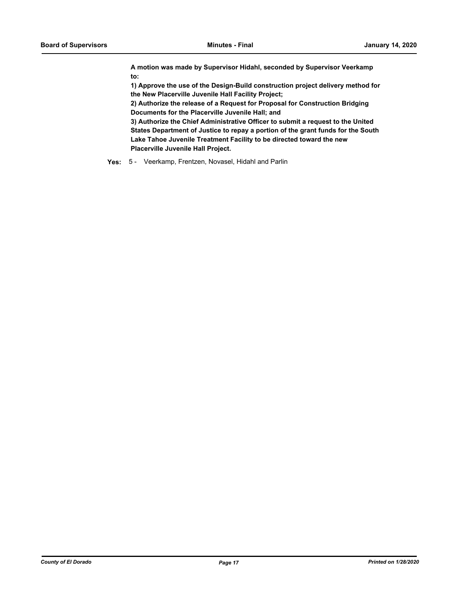**A motion was made by Supervisor Hidahl, seconded by Supervisor Veerkamp to:**

**1) Approve the use of the Design-Build construction project delivery method for the New Placerville Juvenile Hall Facility Project;**

**2) Authorize the release of a Request for Proposal for Construction Bridging Documents for the Placerville Juvenile Hall; and**

**3) Authorize the Chief Administrative Officer to submit a request to the United States Department of Justice to repay a portion of the grant funds for the South Lake Tahoe Juvenile Treatment Facility to be directed toward the new Placerville Juvenile Hall Project.**

**Yes:** 5 - Veerkamp, Frentzen, Novasel, Hidahl and Parlin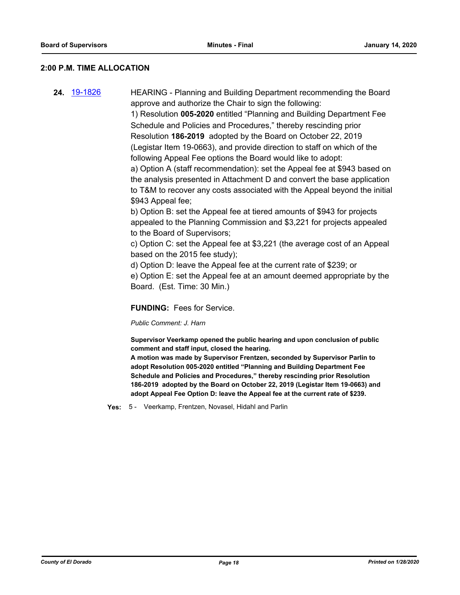### **2:00 P.M. TIME ALLOCATION**

**24.** [19-1826](http://eldorado.legistar.com/gateway.aspx?m=l&id=/matter.aspx?key=27150) HEARING - Planning and Building Department recommending the Board approve and authorize the Chair to sign the following: 1) Resolution **005-2020** entitled "Planning and Building Department Fee Schedule and Policies and Procedures," thereby rescinding prior Resolution **186-2019** adopted by the Board on October 22, 2019

> (Legistar Item 19-0663), and provide direction to staff on which of the following Appeal Fee options the Board would like to adopt: a) Option A (staff recommendation): set the Appeal fee at \$943 based on the analysis presented in Attachment D and convert the base application

> to T&M to recover any costs associated with the Appeal beyond the initial \$943 Appeal fee;

b) Option B: set the Appeal fee at tiered amounts of \$943 for projects appealed to the Planning Commission and \$3,221 for projects appealed to the Board of Supervisors;

c) Option C: set the Appeal fee at \$3,221 (the average cost of an Appeal based on the 2015 fee study);

d) Option D: leave the Appeal fee at the current rate of \$239; or e) Option E: set the Appeal fee at an amount deemed appropriate by the Board. (Est. Time: 30 Min.)

**FUNDING:** Fees for Service.

*Public Comment: J. Harn*

**Supervisor Veerkamp opened the public hearing and upon conclusion of public comment and staff input, closed the hearing.**

**A motion was made by Supervisor Frentzen, seconded by Supervisor Parlin to adopt Resolution 005-2020 entitled "Planning and Building Department Fee Schedule and Policies and Procedures," thereby rescinding prior Resolution 186-2019 adopted by the Board on October 22, 2019 (Legistar Item 19-0663) and adopt Appeal Fee Option D: leave the Appeal fee at the current rate of \$239.**

**Yes:** 5 - Veerkamp, Frentzen, Novasel, Hidahl and Parlin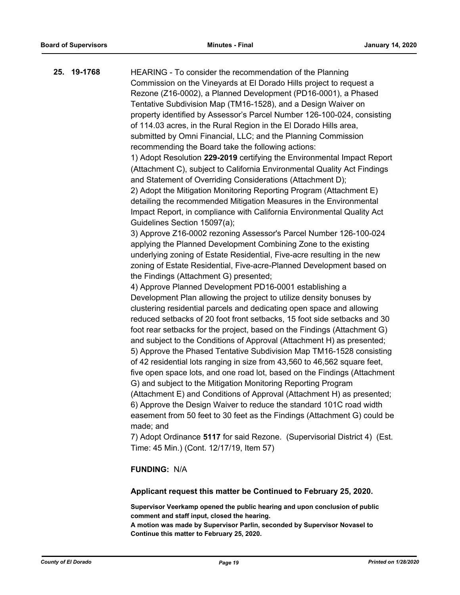**25. 19-1768** HEARING - To consider the recommendation of the Planning Commission on the Vineyards at El Dorado Hills project to request a Rezone (Z16-0002), a Planned Development (PD16-0001), a Phased Tentative Subdivision Map (TM16-1528), and a Design Waiver on property identified by Assessor's Parcel Number 126-100-024, consisting of 114.03 acres, in the Rural Region in the El Dorado Hills area, submitted by Omni Financial, LLC; and the Planning Commission recommending the Board take the following actions: 1) Adopt Resolution **229-2019** certifying the Environmental Impact Report (Attachment C), subject to California Environmental Quality Act Findings and Statement of Overriding Considerations (Attachment D); 2) Adopt the Mitigation Monitoring Reporting Program (Attachment E) detailing the recommended Mitigation Measures in the Environmental Impact Report, in compliance with California Environmental Quality Act Guidelines Section 15097(a); 3) Approve Z16-0002 rezoning Assessor's Parcel Number 126-100-024 applying the Planned Development Combining Zone to the existing underlying zoning of Estate Residential, Five-acre resulting in the new zoning of Estate Residential, Five-acre-Planned Development based on the Findings (Attachment G) presented; 4) Approve Planned Development PD16-0001 establishing a Development Plan allowing the project to utilize density bonuses by clustering residential parcels and dedicating open space and allowing reduced setbacks of 20 foot front setbacks, 15 foot side setbacks and 30 foot rear setbacks for the project, based on the Findings (Attachment G) and subject to the Conditions of Approval (Attachment H) as presented; 5) Approve the Phased Tentative Subdivision Map TM16-1528 consisting of 42 residential lots ranging in size from 43,560 to 46,562 square feet, five open space lots, and one road lot, based on the Findings (Attachment G) and subject to the Mitigation Monitoring Reporting Program (Attachment E) and Conditions of Approval (Attachment H) as presented; 6) Approve the Design Waiver to reduce the standard 101C road width easement from 50 feet to 30 feet as the Findings (Attachment G) could be made; and 7) Adopt Ordinance **5117** for said Rezone. (Supervisorial District 4) (Est. Time: 45 Min.) (Cont. 12/17/19, Item 57)

# **FUNDING:** N/A

# **Applicant request this matter be Continued to February 25, 2020.**

**Supervisor Veerkamp opened the public hearing and upon conclusion of public comment and staff input, closed the hearing. A motion was made by Supervisor Parlin, seconded by Supervisor Novasel to Continue this matter to February 25, 2020.**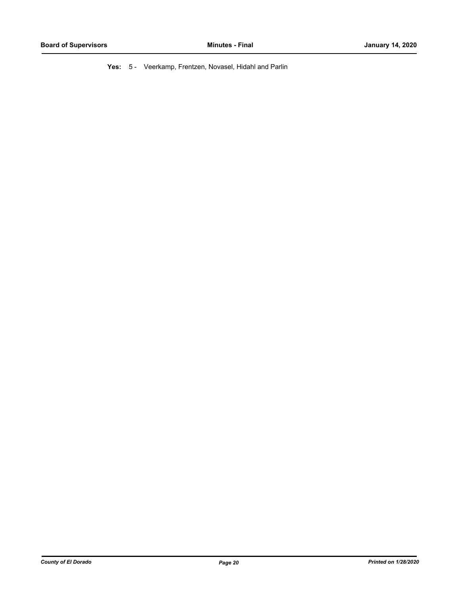**Yes:** 5 - Veerkamp, Frentzen, Novasel, Hidahl and Parlin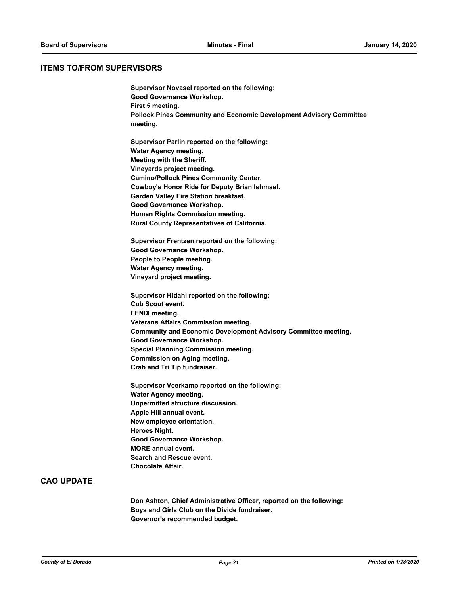#### **ITEMS TO/FROM SUPERVISORS**

**Supervisor Novasel reported on the following: Good Governance Workshop. First 5 meeting. Pollock Pines Community and Economic Development Advisory Committee meeting. Supervisor Parlin reported on the following: Water Agency meeting. Meeting with the Sheriff. Vineyards project meeting. Camino/Pollock Pines Community Center. Cowboy's Honor Ride for Deputy Brian Ishmael. Garden Valley Fire Station breakfast. Good Governance Workshop. Human Rights Commission meeting. Rural County Representatives of California. Supervisor Frentzen reported on the following: Good Governance Workshop. People to People meeting. Water Agency meeting. Vineyard project meeting. Supervisor Hidahl reported on the following: Cub Scout event. FENIX meeting. Veterans Affairs Commission meeting. Community and Economic Development Advisory Committee meeting. Good Governance Workshop. Special Planning Commission meeting. Commission on Aging meeting. Crab and Tri Tip fundraiser. Supervisor Veerkamp reported on the following: Water Agency meeting. Unpermitted structure discussion. Apple Hill annual event. New employee orientation. Heroes Night. Good Governance Workshop. MORE annual event. Search and Rescue event. Chocolate Affair.**

# **CAO UPDATE**

**Don Ashton, Chief Administrative Officer, reported on the following: Boys and Girls Club on the Divide fundraiser. Governor's recommended budget.**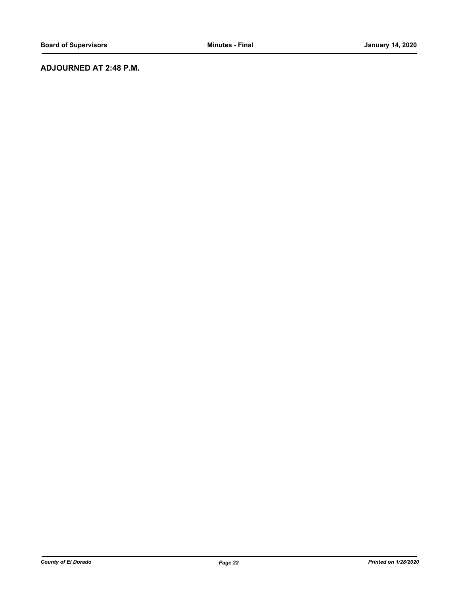# **ADJOURNED AT 2:48 P.M.**